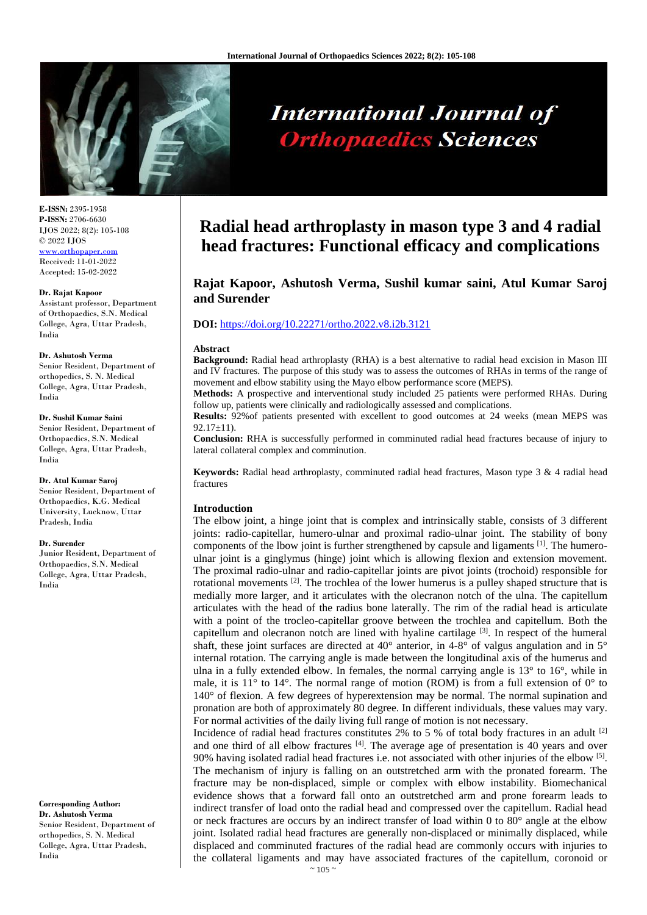

# **International Journal of Orthopaedics Sciences**

**E-ISSN:** 2395-1958 **P-ISSN:** 2706-6630 IJOS 2022; 8(2): 105-108 © 2022 IJOS www.orthopap

Received: 11-01-2022 Accepted: 15-02-2022

#### **Dr. Rajat Kapoor**

Assistant professor, Department of Orthopaedics, S.N. Medical College, Agra, Uttar Pradesh, India

#### **Dr. Ashutosh Verma**

Senior Resident, Department of orthopedics, S. N. Medical College, Agra, Uttar Pradesh, India

#### **Dr. Sushil Kumar Saini**

Senior Resident, Department of Orthopaedics, S.N. Medical College, Agra, Uttar Pradesh, India

#### **Dr. Atul Kumar Saroj**

Senior Resident, Department of Orthopaedics, K.G. Medical University, Lucknow, Uttar Pradesh, India

#### **Dr. Surender**

Junior Resident, Department of Orthopaedics, S.N. Medical College, Agra, Uttar Pradesh, India

**Corresponding Author: Dr. Ashutosh Verma**  Senior Resident, Department of orthopedics, S. N. Medical College, Agra, Uttar Pradesh, India

# **Radial head arthroplasty in mason type 3 and 4 radial head fractures: Functional efficacy and complications**

**Rajat Kapoor, Ashutosh Verma, Sushil kumar saini, Atul Kumar Saroj and Surender**

# **DOI:** <https://doi.org/10.22271/ortho.2022.v8.i2b.3121>

#### **Abstract**

**Background:** Radial head arthroplasty (RHA) is a best alternative to radial head excision in Mason III and IV fractures. The purpose of this study was to assess the outcomes of RHAs in terms of the range of movement and elbow stability using the Mayo elbow performance score (MEPS).

**Methods:** A prospective and interventional study included 25 patients were performed RHAs. During follow up, patients were clinically and radiologically assessed and complications.

**Results:** 92%of patients presented with excellent to good outcomes at 24 weeks (mean MEPS was  $92.17 \pm 11$ .

**Conclusion:** RHA is successfully performed in comminuted radial head fractures because of injury to lateral collateral complex and comminution.

**Keywords:** Radial head arthroplasty, comminuted radial head fractures, Mason type 3 & 4 radial head fractures

# **Introduction**

The elbow joint, a hinge joint that is complex and intrinsically stable, consists of 3 different joints: radio-capitellar, humero-ulnar and proximal radio-ulnar joint. The stability of bony components of the lbow joint is further strengthened by capsule and ligaments  $[1]$ . The humeroulnar joint is a ginglymus (hinge) joint which is allowing flexion and extension movement. The proximal radio-ulnar and radio-capitellar joints are pivot joints (trochoid) responsible for rotational movements  $[2]$ . The trochlea of the lower humerus is a pulley shaped structure that is medially more larger, and it articulates with the olecranon notch of the ulna. The capitellum articulates with the head of the radius bone laterally. The rim of the radial head is articulate with a point of the trocleo-capitellar groove between the trochlea and capitellum. Both the capitellum and olecranon notch are lined with hyaline cartilage <sup>[3]</sup>. In respect of the humeral shaft, these joint surfaces are directed at  $40^{\circ}$  anterior, in 4-8° of valgus angulation and in 5° internal rotation. The carrying angle is made between the longitudinal axis of the humerus and ulna in a fully extended elbow. In females, the normal carrying angle is  $13^{\circ}$  to  $16^{\circ}$ , while in male, it is  $11^{\circ}$  to  $14^{\circ}$ . The normal range of motion (ROM) is from a full extension of  $0^{\circ}$  to 140° of flexion. A few degrees of hyperextension may be normal. The normal supination and pronation are both of approximately 80 degree. In different individuals, these values may vary. For normal activities of the daily living full range of motion is not necessary.

Incidence of radial head fractures constitutes  $2\%$  to 5 % of total body fractures in an adult  $^{[2]}$ and one third of all elbow fractures  $[4]$ . The average age of presentation is 40 years and over 90% having isolated radial head fractures i.e. not associated with other injuries of the elbow <sup>[5]</sup>. The mechanism of injury is falling on an outstretched arm with the pronated forearm. The fracture may be non-displaced, simple or complex with elbow instability. Biomechanical evidence shows that a forward fall onto an outstretched arm and prone forearm leads to indirect transfer of load onto the radial head and compressed over the capitellum. Radial head or neck fractures are occurs by an indirect transfer of load within 0 to 80° angle at the elbow joint. Isolated radial head fractures are generally non-displaced or minimally displaced, while displaced and comminuted fractures of the radial head are commonly occurs with injuries to the collateral ligaments and may have associated fractures of the capitellum, coronoid or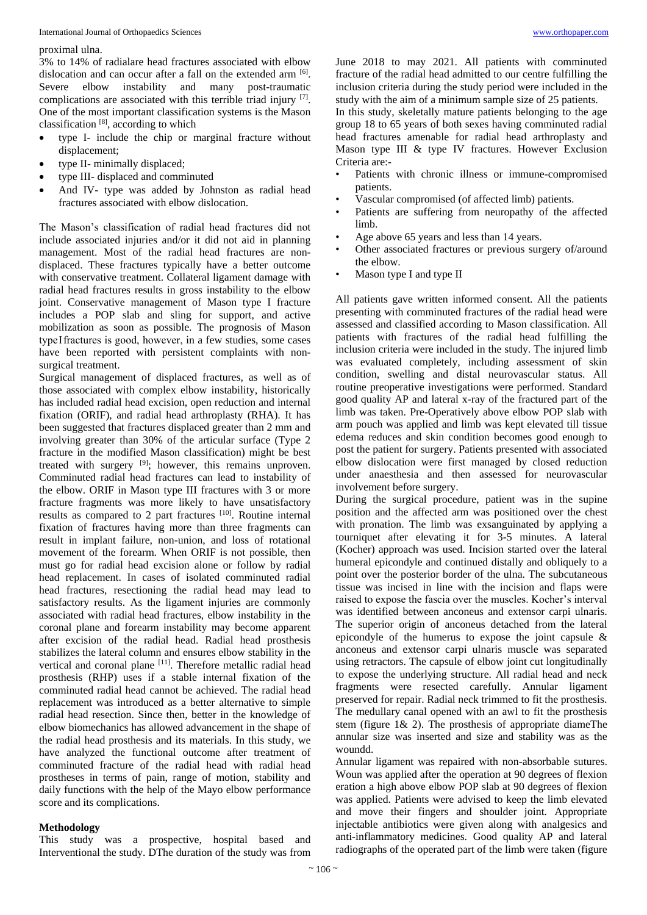#### proximal ulna.

3% to 14% of radialare head fractures associated with elbow dislocation and can occur after a fall on the extended arm [6]. Severe elbow instability and many post-traumatic complications are associated with this terrible triad injury [7]. One of the most important classification systems is the Mason classification [8], according to which

- type I- include the chip or marginal fracture without displacement;
- type II- minimally displaced;
- type III- displaced and comminuted
- And IV- type was added by Johnston as radial head fractures associated with elbow dislocation.

The Mason's classification of radial head fractures did not include associated injuries and/or it did not aid in planning management. Most of the radial head fractures are nondisplaced. These fractures typically have a better outcome with conservative treatment. Collateral ligament damage with radial head fractures results in gross instability to the elbow joint. Conservative management of Mason type I fracture includes a POP slab and sling for support, and active mobilization as soon as possible. The prognosis of Mason type I fractures is good, however, in a few studies, some cases have been reported with persistent complaints with nonsurgical treatment.

Surgical management of displaced fractures, as well as of those associated with complex elbow instability, historically has included radial head excision, open reduction and internal fixation (ORIF), and radial head arthroplasty (RHA). It has been suggested that fractures displaced greater than 2 mm and involving greater than 30% of the articular surface (Type 2 fracture in the modified Mason classification) might be best treated with surgery [9]; however, this remains unproven. Comminuted radial head fractures can lead to instability of the elbow. ORIF in Mason type III fractures with 3 or more fracture fragments was more likely to have unsatisfactory results as compared to 2 part fractures [10]. Routine internal fixation of fractures having more than three fragments can result in implant failure, non-union, and loss of rotational movement of the forearm. When ORIF is not possible, then must go for radial head excision alone or follow by radial head replacement. In cases of isolated comminuted radial head fractures, resectioning the radial head may lead to satisfactory results. As the ligament injuries are commonly associated with radial head fractures, elbow instability in the coronal plane and forearm instability may become apparent after excision of the radial head. Radial head prosthesis stabilizes the lateral column and ensures elbow stability in the vertical and coronal plane [11]. Therefore metallic radial head prosthesis (RHP) uses if a stable internal fixation of the comminuted radial head cannot be achieved. The radial head replacement was introduced as a better alternative to simple radial head resection. Since then, better in the knowledge of elbow biomechanics has allowed advancement in the shape of the radial head prosthesis and its materials. In this study, we have analyzed the functional outcome after treatment of comminuted fracture of the radial head with radial head prostheses in terms of pain, range of motion, stability and daily functions with the help of the Mayo elbow performance score and its complications.

# **Methodology**

This study was a prospective, hospital based and Interventional the study. DThe duration of the study was from June 2018 to may 2021. All patients with comminuted fracture of the radial head admitted to our centre fulfilling the inclusion criteria during the study period were included in the study with the aim of a minimum sample size of 25 patients.

In this study, skeletally mature patients belonging to the age group 18 to 65 years of both sexes having comminuted radial head fractures amenable for radial head arthroplasty and Mason type III & type IV fractures. However Exclusion Criteria are:-

- Patients with chronic illness or immune-compromised patients.
- Vascular compromised (of affected limb) patients.
- Patients are suffering from neuropathy of the affected limb.
- Age above 65 years and less than 14 years.
- Other associated fractures or previous surgery of/around the elbow.
- Mason type I and type II

All patients gave written informed consent. All the patients presenting with comminuted fractures of the radial head were assessed and classified according to Mason classification. All patients with fractures of the radial head fulfilling the inclusion criteria were included in the study. The injured limb was evaluated completely, including assessment of skin condition, swelling and distal neurovascular status. All routine preoperative investigations were performed. Standard good quality AP and lateral x-ray of the fractured part of the limb was taken. Pre-Operatively above elbow POP slab with arm pouch was applied and limb was kept elevated till tissue edema reduces and skin condition becomes good enough to post the patient for surgery. Patients presented with associated elbow dislocation were first managed by closed reduction under anaesthesia and then assessed for neurovascular involvement before surgery.

During the surgical procedure, patient was in the supine position and the affected arm was positioned over the chest with pronation. The limb was exsanguinated by applying a tourniquet after elevating it for 3-5 minutes. A lateral (Kocher) approach was used. Incision started over the lateral humeral epicondyle and continued distally and obliquely to a point over the posterior border of the ulna. The subcutaneous tissue was incised in line with the incision and flaps were raised to expose the fascia over the muscles. Kocher's interval was identified between anconeus and extensor carpi ulnaris. The superior origin of anconeus detached from the lateral epicondyle of the humerus to expose the joint capsule & anconeus and extensor carpi ulnaris muscle was separated using retractors. The capsule of elbow joint cut longitudinally to expose the underlying structure. All radial head and neck fragments were resected carefully. Annular ligament preserved for repair. Radial neck trimmed to fit the prosthesis. The medullary canal opened with an awl to fit the prosthesis stem (figure 1& 2). The prosthesis of appropriate diameThe annular size was inserted and size and stability was as the woundd.

Annular ligament was repaired with non-absorbable sutures. Woun was applied after the operation at 90 degrees of flexion eration a high above elbow POP slab at 90 degrees of flexion was applied. Patients were advised to keep the limb elevated and move their fingers and shoulder joint. Appropriate injectable antibiotics were given along with analgesics and anti-inflammatory medicines. Good quality AP and lateral radiographs of the operated part of the limb were taken (figure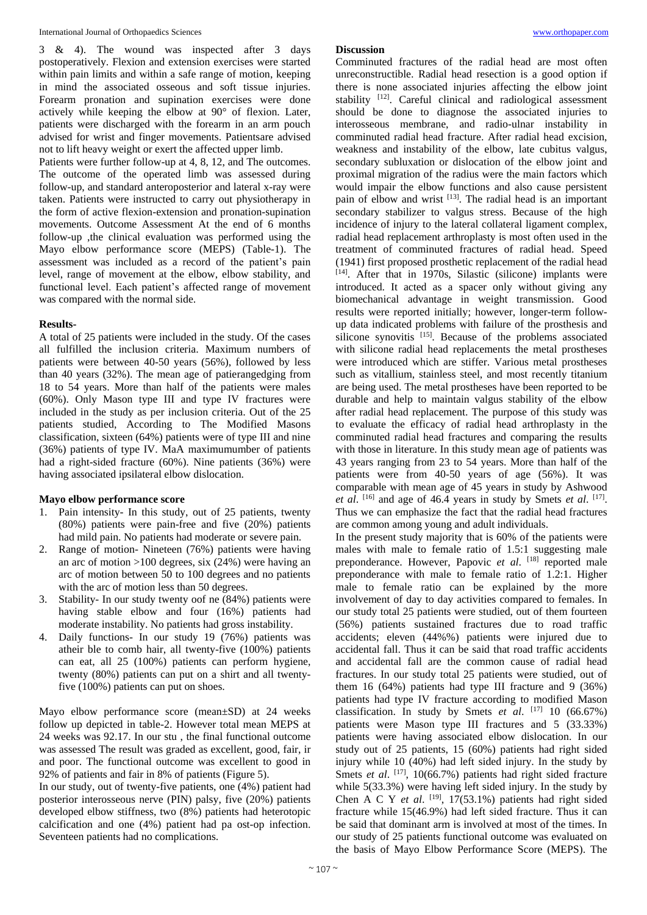3 & 4). The wound was inspected after 3 days postoperatively. Flexion and extension exercises were started within pain limits and within a safe range of motion, keeping in mind the associated osseous and soft tissue injuries. Forearm pronation and supination exercises were done actively while keeping the elbow at 90° of flexion. Later, patients were discharged with the forearm in an arm pouch advised for wrist and finger movements. Patientsare advised not to lift heavy weight or exert the affected upper limb.

Patients were further follow-up at 4, 8, 12, and The outcomes. The outcome of the operated limb was assessed during follow-up, and standard anteroposterior and lateral x-ray were taken. Patients were instructed to carry out physiotherapy in the form of active flexion-extension and pronation-supination movements. Outcome Assessment At the end of 6 months follow-up ,the clinical evaluation was performed using the Mayo elbow performance score (MEPS) (Table-1). The assessment was included as a record of the patient's pain level, range of movement at the elbow, elbow stability, and functional level. Each patient's affected range of movement was compared with the normal side.

# **Results-**

A total of 25 patients were included in the study. Of the cases all fulfilled the inclusion criteria. Maximum numbers of patients were between 40-50 years (56%), followed by less than 40 years (32%). The mean age of patierangedging from 18 to 54 years. More than half of the patients were males (60%). Only Mason type III and type IV fractures were included in the study as per inclusion criteria. Out of the 25 patients studied, According to The Modified Masons classification, sixteen (64%) patients were of type III and nine (36%) patients of type IV. MaA maximumumber of patients had a right-sided fracture (60%). Nine patients (36%) were having associated ipsilateral elbow dislocation.

## **Mayo elbow performance score**

- 1. Pain intensity- In this study, out of 25 patients, twenty (80%) patients were pain-free and five (20%) patients had mild pain. No patients had moderate or severe pain.
- 2. Range of motion- Nineteen (76%) patients were having an arc of motion >100 degrees, six (24%) were having an arc of motion between 50 to 100 degrees and no patients with the arc of motion less than 50 degrees.
- 3. Stability- In our study twenty oof ne (84%) patients were having stable elbow and four (16%) patients had moderate instability. No patients had gross instability.
- 4. Daily functions- In our study 19 (76%) patients was atheir ble to comb hair, all twenty-five (100%) patients can eat, all 25 (100%) patients can perform hygiene, twenty (80%) patients can put on a shirt and all twentyfive (100%) patients can put on shoes.

Mayo elbow performance score (mean±SD) at 24 weeks follow up depicted in table-2. However total mean MEPS at 24 weeks was 92.17. In our stu , the final functional outcome was assessed The result was graded as excellent, good, fair, ir and poor. The functional outcome was excellent to good in 92% of patients and fair in 8% of patients (Figure 5).

In our study, out of twenty-five patients, one (4%) patient had posterior interosseous nerve (PIN) palsy, five (20%) patients developed elbow stiffness, two (8%) patients had heterotopic calcification and one (4%) patient had pa ost-op infection. Seventeen patients had no complications.

# **Discussion**

Comminuted fractures of the radial head are most often unreconstructible. Radial head resection is a good option if there is none associated injuries affecting the elbow joint stability <a>[12]</a>. Careful clinical and radiological assessment should be done to diagnose the associated injuries to interosseous membrane, and radio-ulnar instability in comminuted radial head fracture. After radial head excision, weakness and instability of the elbow, late cubitus valgus, secondary subluxation or dislocation of the elbow joint and proximal migration of the radius were the main factors which would impair the elbow functions and also cause persistent pain of elbow and wrist <sup>[13]</sup>. The radial head is an important secondary stabilizer to valgus stress. Because of the high incidence of injury to the lateral collateral ligament complex, radial head replacement arthroplasty is most often used in the treatment of comminuted fractures of radial head. Speed (1941) first proposed prosthetic replacement of the radial head [14]. After that in 1970s, Silastic (silicone) implants were introduced. It acted as a spacer only without giving any biomechanical advantage in weight transmission. Good results were reported initially; however, longer-term followup data indicated problems with failure of the prosthesis and silicone synovitis [15]. Because of the problems associated with silicone radial head replacements the metal prostheses were introduced which are stiffer. Various metal prostheses such as vitallium, stainless steel, and most recently titanium are being used. The metal prostheses have been reported to be durable and help to maintain valgus stability of the elbow after radial head replacement. The purpose of this study was to evaluate the efficacy of radial head arthroplasty in the comminuted radial head fractures and comparing the results with those in literature. In this study mean age of patients was 43 years ranging from 23 to 54 years. More than half of the patients were from 40-50 years of age (56%). It was comparable with mean age of 45 years in study by Ashwood *et al.* <sup>[16]</sup> and age of 46.4 years in study by Smets *et al.* <sup>[17]</sup>. Thus we can emphasize the fact that the radial head fractures are common among young and adult individuals.

In the present study majority that is 60% of the patients were males with male to female ratio of 1.5:1 suggesting male preponderance. However, Papovic *et al*. [18] reported male preponderance with male to female ratio of 1.2:1. Higher male to female ratio can be explained by the more involvement of day to day activities compared to females. In our study total 25 patients were studied, out of them fourteen (56%) patients sustained fractures due to road traffic accidents; eleven (44%%) patients were injured due to accidental fall. Thus it can be said that road traffic accidents and accidental fall are the common cause of radial head fractures. In our study total 25 patients were studied, out of them 16  $(64%)$  patients had type III fracture and 9  $(36%)$ patients had type IV fracture according to modified Mason classification. In study by Smets *et al.* [17] 10 (66.67%) patients were Mason type III fractures and 5 (33.33%) patients were having associated elbow dislocation. In our study out of 25 patients, 15 (60%) patients had right sided injury while 10 (40%) had left sided injury. In the study by Smets *et al.* <sup>[17]</sup>, 10(66.7%) patients had right sided fracture while 5(33.3%) were having left sided injury. In the study by Chen A C Y *et al.* <sup>[19]</sup>, 17(53.1%) patients had right sided fracture while 15(46.9%) had left sided fracture. Thus it can be said that dominant arm is involved at most of the times. In our study of 25 patients functional outcome was evaluated on the basis of Mayo Elbow Performance Score (MEPS). The